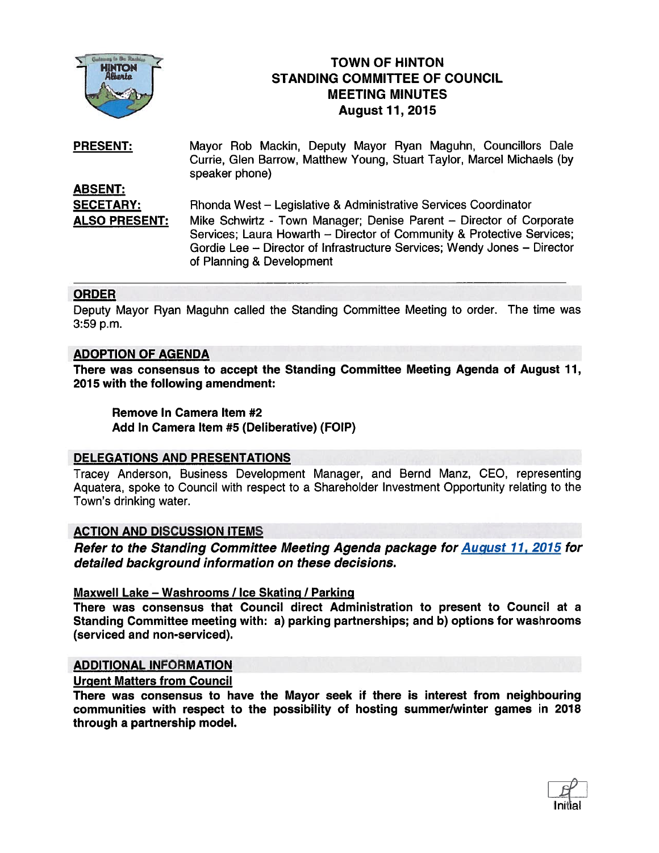

# TOWN OF HINTON STANDING COMMITTEE OF COUNCIL MEETING MINUTES TOWN OF HINTOR<br>
HINTON<br>
Alberta<br>
August 11, 2015

Mayor Rob Mackin, Deputy Mayor Ryan Maguhn, Councillors Dale Currie, Glen Barrow, Matthew Young, Stuart Taylor, Marcel Michaels (by speaker phone) ABSENT: PRESENT:

SECETARY: Rhonda West – Legislative & Administrative Services Coordinator ALSO PRESENT: Mike Schwirtz - Town Manager; Denise Parent — Director of Corporate Services; Laura Howarth — Director of Community & Protective Services; Gordie Lee — Director of Infrastructure Services; Wendy Jones — Director of Planning & Development

# **ORDER**

Deputy Mayor Ryan Maguhn called the Standing Committee Meeting to order. The time was 3:59 p.m.

# ADOPTION OF AGENDA

There was consensus to accep<sup>t</sup> the Standing Committee Meeting Agenda of August 11, 2015 with the following amendment:

Remove In Camera Item #2 Add In Camera Item #5 (Deliberative) (FOIP)

# DELEGATIONS AND PRESENTATIONS

Tracey Anderson, Business Development Manager, and Bernd Manz, CEO, representing Aquatera, spoke to Council with respec<sup>t</sup> to <sup>a</sup> Shareholder Investment Opportunity relating to the Town's drinking water.

# ACTION AND DISCUSSION ITEMS

Refer to the Standing Committee Meeting Agenda package for **August 11, 2015** for detailed background information on these decisions.

# Maxwell Lake — Washrooms / Ice Skating / Parking

There was consensus that Council direct Administration to presen<sup>t</sup> to Council at <sup>a</sup> Standing Committee meeting with: a) parking partnerships; and b) options for washrooms (serviced and non-serviced).

# ADDITIONAL INFORMATION

# Urgent Matters from Council

There was consensus to have the Mayor seek if there is interest from neighbouring communities with respec<sup>t</sup> to the possibility of hosting summer/winter games in 2018 through <sup>a</sup> partnership model.